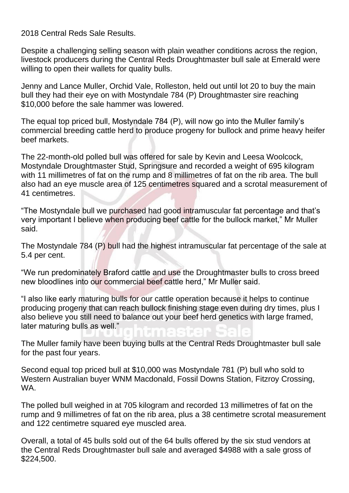2018 Central Reds Sale Results.

Despite a challenging selling season with plain weather conditions across the region, livestock producers during the Central Reds Droughtmaster bull sale at Emerald were willing to open their wallets for quality bulls.

Jenny and Lance Muller, Orchid Vale, Rolleston, held out until lot 20 to buy the main bull they had their eye on with Mostyndale 784 (P) Droughtmaster sire reaching \$10,000 before the sale hammer was lowered.

The equal top priced bull, Mostyndale 784 (P), will now go into the Muller family's commercial breeding cattle herd to produce progeny for bullock and prime heavy heifer beef markets.

The 22-month-old polled bull was offered for sale by Kevin and Leesa Woolcock, Mostyndale Droughtmaster Stud, Springsure and recorded a weight of 695 kilogram with 11 millimetres of fat on the rump and 8 millimetres of fat on the rib area. The bull also had an eye muscle area of 125 centimetres squared and a scrotal measurement of 41 centimetres.

"The Mostyndale bull we purchased had good intramuscular fat percentage and that's very important I believe when producing beef cattle for the bullock market," Mr Muller said.

The Mostyndale 784 (P) bull had the highest intramuscular fat percentage of the sale at 5.4 per cent.

"We run predominately Braford cattle and use the Droughtmaster bulls to cross breed new bloodlines into our commercial beef cattle herd," Mr Muller said.

"I also like early maturing bulls for our cattle operation because it helps to continue producing progeny that can reach bullock finishing stage even during dry times, plus I also believe you still need to balance out your beef herd genetics with large framed, later maturing bulls as well."

The Muller family have been buying bulls at the Central Reds Droughtmaster bull sale for the past four years.

Second equal top priced bull at \$10,000 was Mostyndale 781 (P) bull who sold to Western Australian buyer WNM Macdonald, Fossil Downs Station, Fitzroy Crossing, WA.

The polled bull weighed in at 705 kilogram and recorded 13 millimetres of fat on the rump and 9 millimetres of fat on the rib area, plus a 38 centimetre scrotal measurement and 122 centimetre squared eye muscled area.

Overall, a total of 45 bulls sold out of the 64 bulls offered by the six stud vendors at the Central Reds Droughtmaster bull sale and averaged \$4988 with a sale gross of \$224,500.